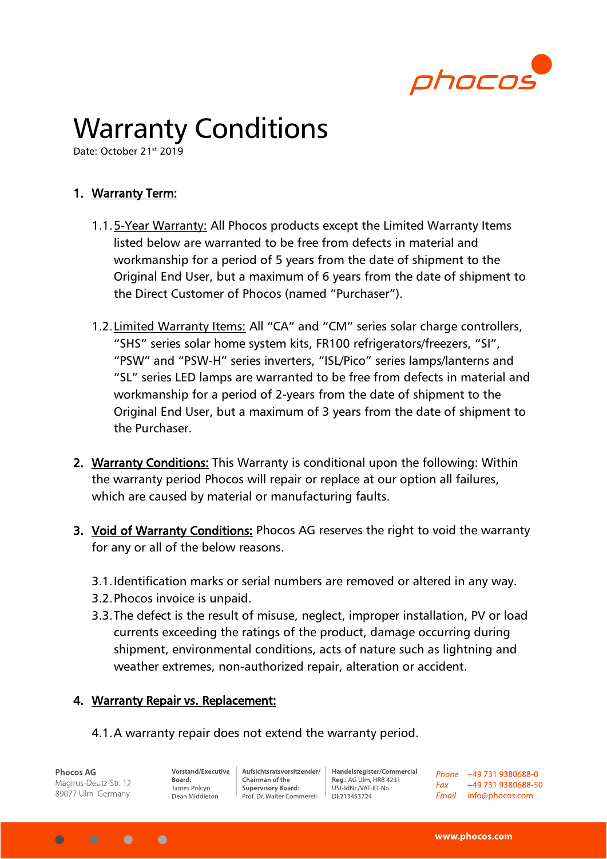

## Warranty Conditions

Date: October 21st 2019

## 1. Warranty Term:

- 1.1.5-Year Warranty: All Phocos products except the Limited Warranty Items listed below are warranted to be free from defects in material and workmanship for a period of 5 years from the date of shipment to the Original End User, but a maximum of 6 years from the date of shipment to the Direct Customer of Phocos (named "Purchaser").
- 1.2.Limited Warranty Items: All "CA" and "CM" series solar charge controllers, "SHS" series solar home system kits, FR100 refrigerators/freezers, "SI", "PSW" and "PSW-H" series inverters, "ISL/Pico" series lamps/lanterns and "SL" series LED lamps are warranted to be free from defects in material and workmanship for a period of 2-years from the date of shipment to the Original End User, but a maximum of 3 years from the date of shipment to the Purchaser.
- 2. Warranty Conditions: This Warranty is conditional upon the following: Within the warranty period Phocos will repair or replace at our option all failures, which are caused by material or manufacturing faults.
- 3. Void of Warranty Conditions: Phocos AG reserves the right to void the warranty for any or all of the below reasons.
	- 3.1.Identification marks or serial numbers are removed or altered in any way.
	- 3.2.Phocos invoice is unpaid.
	- 3.3.The defect is the result of misuse, neglect, improper installation, PV or load currents exceeding the ratings of the product, damage occurring during shipment, environmental conditions, acts of nature such as lightning and weather extremes, non-authorized repair, alteration or accident.

## 4. Warranty Repair vs. Replacement:

4.1.A warranty repair does not extend the warranty period.

**Phocos AG** Magirus-Deutz-Str. 12 89077 Ulm Germany

 $\bullet$ 

 $\bullet$ 

 $\bigcap$ 

Vorstand/Executive Board: James Polcyn Dean Middleton

Aufsichtsratsvorsitzender/ Chairman of the **Supervisory Board:** Prof. Dr. Walter Commerell

Handelsregister/Commercial Reg.: AG Ulm, HRB 4231 USt-IdNr./VAT-ID-No.: DE213453724

Phone +49 731 9380688-0  $Fax$ +49 731 9380688-50 Email info@phocos.com